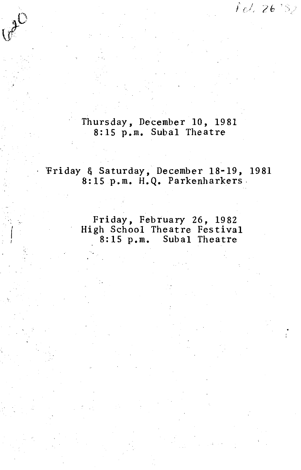$\hat{F}$  $e$ *t.*  $26$   $32$ 

## Thursday, December 10, 1981 8:15 p.m. Subal Theatre

## 'Friday & Saturday, December 18-19, 1981 8:15 p.m. H.Q. Parkenharkers.

## Friday, February 26, 1982 High School Theatre Festival 8:15 p.m. Subal Theatre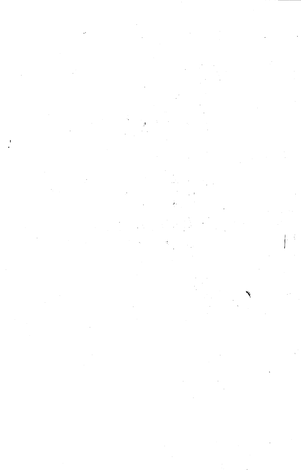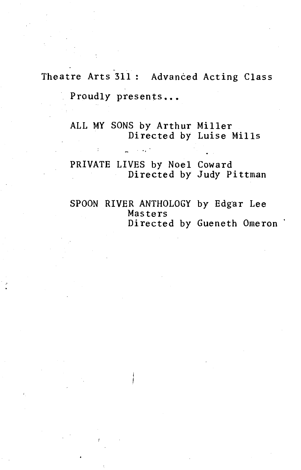Theatre Arts 311: Advanced Acting Class

Proudly presents...

ALL MY SONS by Arthur Miller Directed by Luise Mills

PRIVATE LIVES by Noel Coward Directed by Judy Pittman

SPOON RIVER ANTHOLOGY by Edgar Lee Masters Directed by Gueneth Omeron